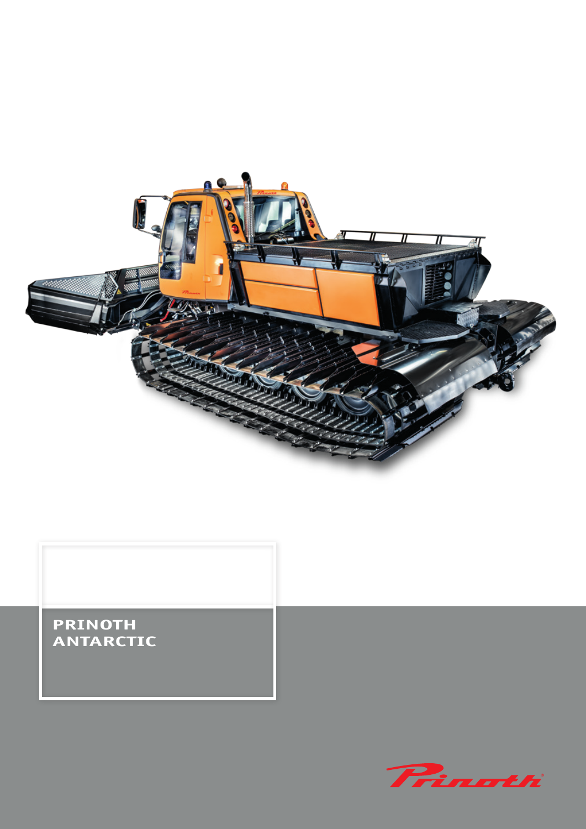

# **PRINOTH ANTARCTIC**